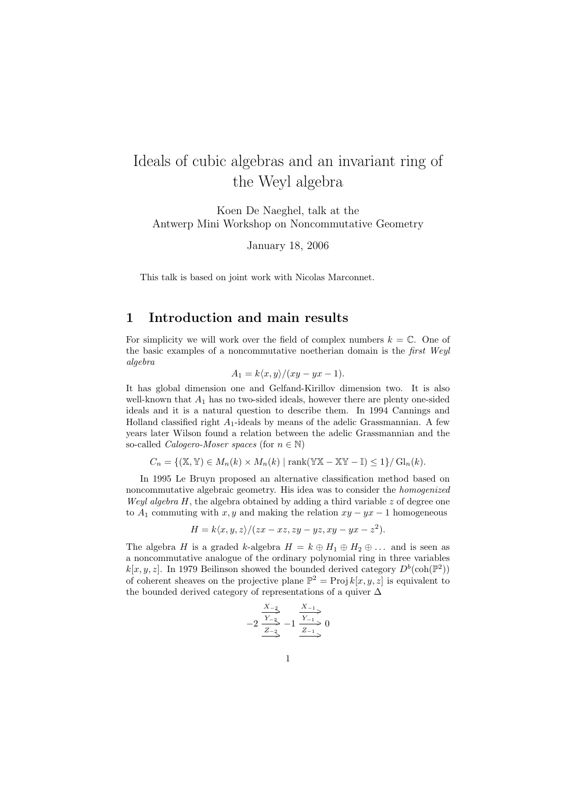# Ideals of cubic algebras and an invariant ring of the Weyl algebra

Koen De Naeghel, talk at the Antwerp Mini Workshop on Noncommutative Geometry

January 18, 2006

This talk is based on joint work with Nicolas Marconnet.

### 1 Introduction and main results

For simplicity we will work over the field of complex numbers  $k = \mathbb{C}$ . One of the basic examples of a noncommutative noetherian domain is the first Weyl algebra

$$
A_1 = k \langle x, y \rangle / (xy - yx - 1).
$$

It has global dimension one and Gelfand-Kirillov dimension two. It is also well-known that  $A_1$  has no two-sided ideals, however there are plenty one-sided ideals and it is a natural question to describe them. In 1994 Cannings and Holland classified right  $A_1$ -ideals by means of the adelic Grassmannian. A few years later Wilson found a relation between the adelic Grassmannian and the so-called *Calogero-Moser spaces* (for  $n \in \mathbb{N}$ )

$$
C_n = \{ (\mathbb{X}, \mathbb{Y}) \in M_n(k) \times M_n(k) \mid \text{rank}(\mathbb{Y}\mathbb{X} - \mathbb{X}\mathbb{Y} - \mathbb{I}) \le 1 \} / \operatorname{Gl}_n(k).
$$

In 1995 Le Bruyn proposed an alternative classification method based on noncommutative algebraic geometry. His idea was to consider the homogenized Weyl algebra  $H$ , the algebra obtained by adding a third variable z of degree one to  $A_1$  commuting with x, y and making the relation  $xy - yx - 1$  homogeneous

$$
H = k \langle x, y, z \rangle / (zx - xz, zy - yz, xy - yx - z2).
$$

The algebra H is a graded k-algebra  $H = k \oplus H_1 \oplus H_2 \oplus \ldots$  and is seen as a noncommutative analogue of the ordinary polynomial ring in three variables  $k[x, y, z]$ . In 1979 Beilinson showed the bounded derived category  $D^b(\text{coh}(\mathbb{P}^2))$ of coherent sheaves on the projective plane  $\mathbb{P}^2 = \text{Proj } k[x, y, z]$  is equivalent to the bounded derived category of representations of a quiver  $\Delta$ 

$$
-2 \frac{\frac{X_{-2}}{Y_{-2}}}{\frac{Z_{-2}}{Y_{-1}}} - 1 \frac{\frac{X_{-1}}{Y_{-1}}}{\frac{Z_{-1}}{Y_{-1}}} = 0
$$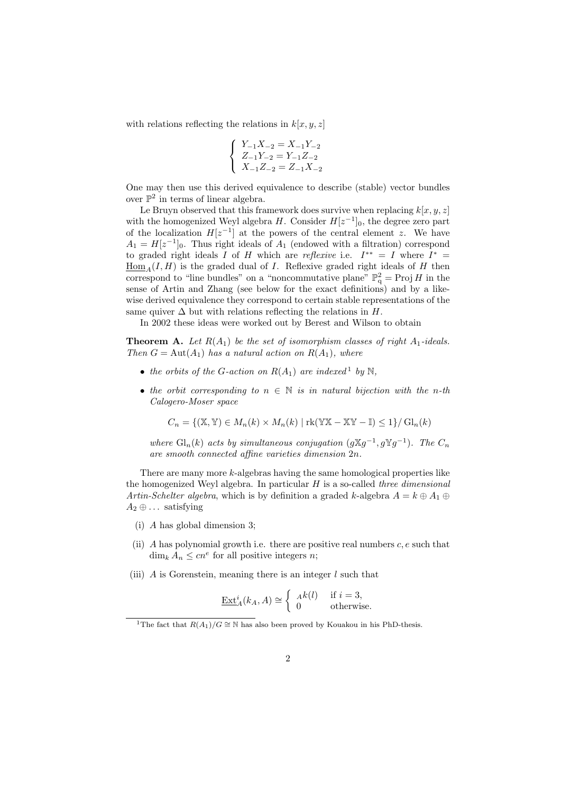with relations reflecting the relations in  $k[x, y, z]$ 

$$
\left\{\begin{array}{l} Y_{-1}X_{-2}=X_{-1}Y_{-2} \\ Z_{-1}Y_{-2}=Y_{-1}Z_{-2} \\ X_{-1}Z_{-2}=Z_{-1}X_{-2} \end{array}\right.
$$

One may then use this derived equivalence to describe (stable) vector bundles over  $\mathbb{P}^2$  in terms of linear algebra.

Le Bruyn observed that this framework does survive when replacing  $k[x, y, z]$ with the homogenized Weyl algebra  $H$ . Consider  $H[z^{-1}]_0$ , the degree zero part of the localization  $H[z^{-1}]$  at the powers of the central element z. We have  $A_1 = H[z^{-1}]_0$ . Thus right ideals of  $A_1$  (endowed with a filtration) correspond to graded right ideals I of H which are reflexive i.e.  $I^{**} = I$  where  $I^* =$  $\underline{\text{Hom}}_A(I, H)$  is the graded dual of I. Reflexive graded right ideals of H then correspond to "line bundles" on a "noncommutative plane"  $\mathbb{P}^2_q$  = Proj H in the sense of Artin and Zhang (see below for the exact definitions) and by a likewise derived equivalence they correspond to certain stable representations of the same quiver  $\Delta$  but with relations reflecting the relations in H.

In 2002 these ideas were worked out by Berest and Wilson to obtain

**Theorem A.** Let  $R(A_1)$  be the set of isomorphism classes of right  $A_1$ -ideals. Then  $G = Aut(A_1)$  has a natural action on  $R(A_1)$ , where

- the orbits of the G-action on  $R(A_1)$  are indexed<sup>1</sup> by N,
- the orbit corresponding to  $n \in \mathbb{N}$  is in natural bijection with the n-th Calogero-Moser space

$$
C_n = \{ (\mathbb{X}, \mathbb{Y}) \in M_n(k) \times M_n(k) \mid \text{rk}(\mathbb{Y}\mathbb{X} - \mathbb{X}\mathbb{Y} - \mathbb{I}) \le 1 \} / \operatorname{Gl}_n(k)
$$

where  $\mathrm{Gl}_n(k)$  acts by simultaneous conjugation  $(g\mathbb{X}g^{-1}, g\mathbb{Y}g^{-1})$ . The  $C_n$ are smooth connected affine varieties dimension 2n.

There are many more k-algebras having the same homological properties like the homogenized Weyl algebra. In particular  $H$  is a so-called three dimensional Artin-Schelter algebra, which is by definition a graded k-algebra  $A = k \oplus A_1 \oplus A_2$  $A_2 \oplus \ldots$  satisfying

- (i) A has global dimension 3;
- (ii) A has polynomial growth i.e. there are positive real numbers  $c, e$  such that  $\dim_k A_n \leq cn^e$  for all positive integers *n*;
- (iii)  $\tilde{A}$  is Gorenstein, meaning there is an integer  $l$  such that

$$
\underline{\operatorname{Ext}}_A^i(k_A, A) \cong \begin{cases} A^k(l) & \text{if } i = 3, \\ 0 & \text{otherwise.} \end{cases}
$$

<sup>&</sup>lt;sup>1</sup>The fact that  $R(A_1)/G \cong \mathbb{N}$  has also been proved by Kouakou in his PhD-thesis.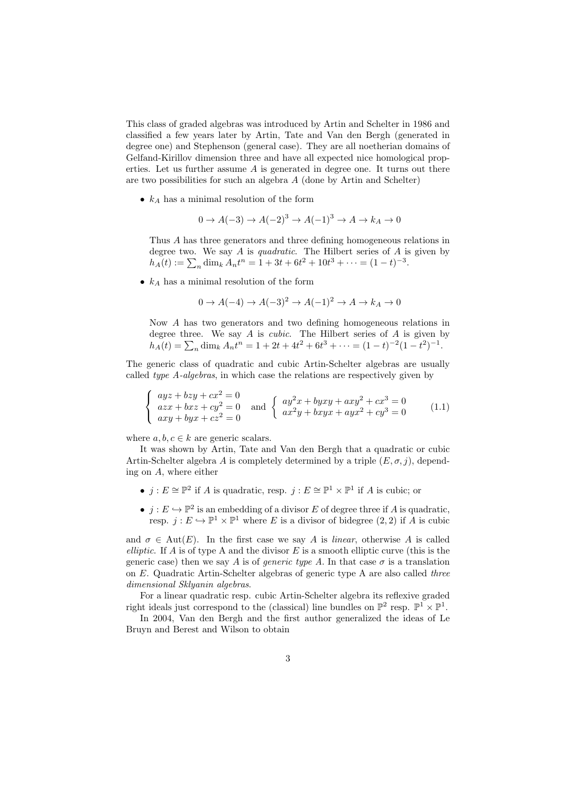This class of graded algebras was introduced by Artin and Schelter in 1986 and classified a few years later by Artin, Tate and Van den Bergh (generated in degree one) and Stephenson (general case). They are all noetherian domains of Gelfand-Kirillov dimension three and have all expected nice homological properties. Let us further assume  $A$  is generated in degree one. It turns out there are two possibilities for such an algebra A (done by Artin and Schelter)

•  $k_A$  has a minimal resolution of the form

 $0 \rightarrow A(-3) \rightarrow A(-2)^3 \rightarrow A(-1)^3 \rightarrow A \rightarrow k_A \rightarrow 0$ 

Thus A has three generators and three defining homogeneous relations in degree two. We say  $A$  is quadratic. The Hilbert series of  $A$  is given by  $h_A(t) := \sum_n \dim_k A_n t^n = 1 + 3t + 6t^2 + 10t^3 + \dots = (1 - t)^{-3}.$ 

•  $k_A$  has a minimal resolution of the form

$$
0 \to A(-4) \to A(-3)^2 \to A(-1)^2 \to A \to k_A \to 0
$$

Now A has two generators and two defining homogeneous relations in degree three. We say  $A$  is *cubic*. The Hilbert series of  $A$  is given by  $h_A(t) = \sum_n \dim_k A_n t^n = 1 + 2t + 4t^2 + 6t^3 + \dots = (1 - t)^{-2} (1 - t^2)^{-1}.$ 

The generic class of quadratic and cubic Artin-Schelter algebras are usually called type A-algebras, in which case the relations are respectively given by

$$
\begin{cases}\nayz + bzy + cx^2 = 0 \\
axx + bxz + cy^2 = 0 \\
axy + byx + cz^2 = 0\n\end{cases}\n\text{ and }\n\begin{cases}\nay^2x + byxy + axy^2 + cx^3 = 0 \\
ax^2y + bxyx + ayx^2 + cy^3 = 0\n\end{cases}\n\tag{1.1}
$$

where  $a, b, c \in k$  are generic scalars.

It was shown by Artin, Tate and Van den Bergh that a quadratic or cubic Artin-Schelter algebra A is completely determined by a triple  $(E, \sigma, j)$ , depending on A, where either

- $j: E \cong \mathbb{P}^2$  if A is quadratic, resp.  $j: E \cong \mathbb{P}^1 \times \mathbb{P}^1$  if A is cubic; or
- $j: E \hookrightarrow \mathbb{P}^2$  is an embedding of a divisor E of degree three if A is quadratic, resp.  $j: E \hookrightarrow \mathbb{P}^1 \times \mathbb{P}^1$  where E is a divisor of bidegree  $(2, 2)$  if A is cubic

and  $\sigma \in Aut(E)$ . In the first case we say A is *linear*, otherwise A is called elliptic. If  $A$  is of type  $A$  and the divisor  $E$  is a smooth elliptic curve (this is the generic case) then we say A is of *generic type A*. In that case  $\sigma$  is a translation on E. Quadratic Artin-Schelter algebras of generic type A are also called three dimensional Sklyanin algebras.

For a linear quadratic resp. cubic Artin-Schelter algebra its reflexive graded right ideals just correspond to the (classical) line bundles on  $\mathbb{P}^2$  resp.  $\mathbb{P}^1 \times \mathbb{P}^1$ .

In 2004, Van den Bergh and the first author generalized the ideas of Le Bruyn and Berest and Wilson to obtain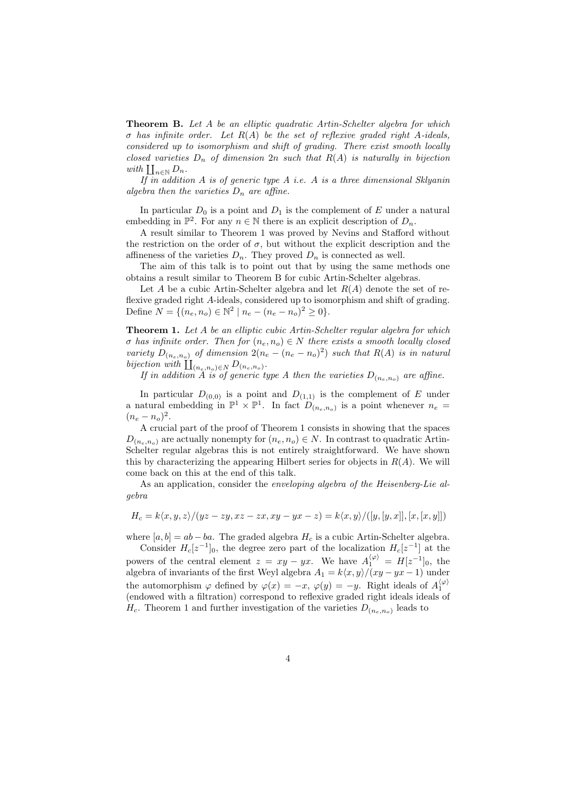**Theorem B.** Let A be an elliptic quadratic Artin-Schelter algebra for which  $\sigma$  has infinite order. Let  $R(A)$  be the set of reflexive graded right A-ideals, considered up to isomorphism and shift of grading. There exist smooth locally closed varieties  $D_n$  of dimension  $2n$  such that  $R(A)$  is naturally in bijection with  $\prod_{n\in\mathbb{N}} D_n$ .

If in addition  $A$  is of generic type  $A$  i.e.  $A$  is a three dimensional Sklyanin algebra then the varieties  $D_n$  are affine.

In particular  $D_0$  is a point and  $D_1$  is the complement of E under a natural embedding in  $\mathbb{P}^2$ . For any  $n \in \mathbb{N}$  there is an explicit description of  $D_n$ .

A result similar to Theorem 1 was proved by Nevins and Stafford without the restriction on the order of  $\sigma$ , but without the explicit description and the affineness of the varieties  $D_n$ . They proved  $D_n$  is connected as well.

The aim of this talk is to point out that by using the same methods one obtains a result similar to Theorem B for cubic Artin-Schelter algebras.

Let A be a cubic Artin-Schelter algebra and let  $R(A)$  denote the set of reflexive graded right A-ideals, considered up to isomorphism and shift of grading. Define  $N = \{(n_e, n_o) \in \mathbb{N}^2 \mid n_e - (n_e - n_o)^2 \ge 0\}.$ 

Theorem 1. Let A be an elliptic cubic Artin-Schelter regular algebra for which  $\sigma$  has infinite order. Then for  $(n_e, n_o) \in N$  there exists a smooth locally closed variety  $D_{(n_e,n_o)}$  of dimension  $2(n_e-(n_e-n_o)^2)$  such that  $R(A)$  is in natural bijection with  $\prod_{(n_e,n_o)\in N} D_{(n_e,n_o)}$ .

If in addition A is of generic type A then the varieties  $D_{(n_e,n_o)}$  are affine.

In particular  $D_{(0,0)}$  is a point and  $D_{(1,1)}$  is the complement of E under a natural embedding in  $\mathbb{P}^1 \times \mathbb{P}^1$ . In fact  $D_{(n_e,n_o)}$  is a point whenever  $n_e$  $(n_e - n_o)^2$ .

A crucial part of the proof of Theorem 1 consists in showing that the spaces  $D_{(n_e,n_o)}$  are actually nonempty for  $(n_e, n_o) \in N$ . In contrast to quadratic Artin-Schelter regular algebras this is not entirely straightforward. We have shown this by characterizing the appearing Hilbert series for objects in  $R(A)$ . We will come back on this at the end of this talk.

As an application, consider the enveloping algebra of the Heisenberg-Lie algebra

$$
H_c = k\langle x, y, z \rangle / (yz - zy, xz - zx, xy - yx - z) = k\langle x, y \rangle / ([y, [y, x]], [x, [x, y]])
$$

where  $[a, b] = ab - ba$ . The graded algebra  $H_c$  is a cubic Artin-Schelter algebra.

Consider  $H_c[z^{-1}]_0$ , the degree zero part of the localization  $H_c[z^{-1}]$  at the powers of the central element  $z = xy - yx$ . We have  $A_1^{(\varphi)} = H[z^{-1}]_0$ , the algebra of invariants of the first Weyl algebra  $A_1 = k\langle x, y \rangle / (xy - yx - 1)$  under the automorphism  $\varphi$  defined by  $\varphi(x) = -x$ ,  $\varphi(y) = -y$ . Right ideals of  $A_1^{\langle \varphi \rangle}$ (endowed with a filtration) correspond to reflexive graded right ideals ideals of  $H_c$ . Theorem 1 and further investigation of the varieties  $D_{(n_e,n_o)}$  leads to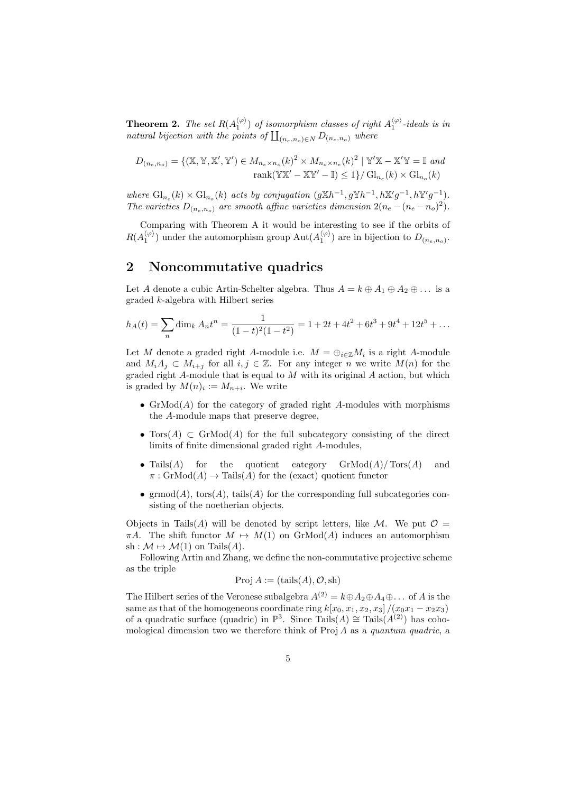**Theorem 2.** The set  $R(A_1^{(\varphi)})$  of isomorphism classes of right  $A_1^{(\varphi)}$ -ideals is in natural bijection with the points of  $\prod_{(n_e,n_o)\in N} D_{(n_e,n_o)}$  where

$$
D_{(n_e, n_o)} = \{ (\mathbb{X}, \mathbb{Y}, \mathbb{X}', \mathbb{Y}') \in M_{n_e \times n_o}(k)^2 \times M_{n_o \times n_e}(k)^2 \mid \mathbb{Y}'\mathbb{X} - \mathbb{X}'\mathbb{Y} = \mathbb{I} \text{ and}
$$
  
rank $(\mathbb{Y}\mathbb{X}' - \mathbb{X}\mathbb{Y}' - \mathbb{I}) \le 1 \} / \mathrm{Gl}_{n_e}(k) \times \mathrm{Gl}_{n_o}(k)$ 

where  $\mathrm{Gl}_{n_e}(k) \times \mathrm{Gl}_{n_o}(k)$  acts by conjugation  $(g \mathbb{X} h^{-1}, g \mathbb{Y} h^{-1}, h \mathbb{X}' g^{-1}, h \mathbb{Y}' g^{-1})$ . The varieties  $D_{(n_e,n_o)}$  are smooth affine varieties dimension  $2(n_e-(n_e-n_o)^2)$ .

Comparing with Theorem A it would be interesting to see if the orbits of  $R(A_1^{\langle \varphi \rangle})$  under the automorphism group  $\text{Aut}(A_1^{\langle \varphi \rangle})$  are in bijection to  $D_{(n_e,n_o)}$ .

### 2 Noncommutative quadrics

Let A denote a cubic Artin-Schelter algebra. Thus  $A = k \oplus A_1 \oplus A_2 \oplus \ldots$  is a graded k-algebra with Hilbert series

$$
h_A(t) = \sum_n \dim_k A_n t^n = \frac{1}{(1-t)^2 (1-t^2)} = 1 + 2t + 4t^2 + 6t^3 + 9t^4 + 12t^5 + \dots
$$

Let M denote a graded right A-module i.e.  $M = \bigoplus_{i \in \mathbb{Z}} M_i$  is a right A-module and  $M_iA_j \subset M_{i+j}$  for all  $i, j \in \mathbb{Z}$ . For any integer n we write  $M(n)$  for the graded right  $A$ -module that is equal to  $M$  with its original  $A$  action, but which is graded by  $M(n)_i := M_{n+i}$ . We write

- $GrMod(A)$  for the category of graded right A-modules with morphisms the A-module maps that preserve degree,
- Tors $(A) \subset \text{GrMod}(A)$  for the full subcategory consisting of the direct limits of finite dimensional graded right A-modules,
- Tails $(A)$  for the quotient category  $\mathrm{GrMod}(A)/\mathrm{Tors}(A)$  and  $\pi: \mathrm{GrMod}(A) \to \mathrm{Tails}(A)$  for the (exact) quotient functor
- $\operatorname{grmod}(A)$ ,  $\operatorname{tors}(A)$ ,  $\operatorname{tails}(A)$  for the corresponding full subcategories consisting of the noetherian objects.

Objects in Tails(A) will be denoted by script letters, like M. We put  $\mathcal{O}$  =  $\pi A$ . The shift functor  $M \mapsto M(1)$  on GrMod(A) induces an automorphism sh :  $\mathcal{M} \mapsto \mathcal{M}(1)$  on Tails $(A)$ .

Following Artin and Zhang, we define the non-commutative projective scheme as the triple

$$
Proj A := (tails(A), O, sh)
$$

The Hilbert series of the Veronese subalgebra  $A^{(2)} = k \oplus A_2 \oplus A_4 \oplus \dots$  of A is the same as that of the homogeneous coordinate ring  $k[x_0, x_1, x_2, x_3]/(x_0x_1 - x_2x_3)$ of a quadratic surface (quadric) in  $\mathbb{P}^3$ . Since Tails(A) ≅ Tails(A<sup>(2)</sup>) has cohomological dimension two we therefore think of  $\text{Proj } A$  as a quantum quadric, a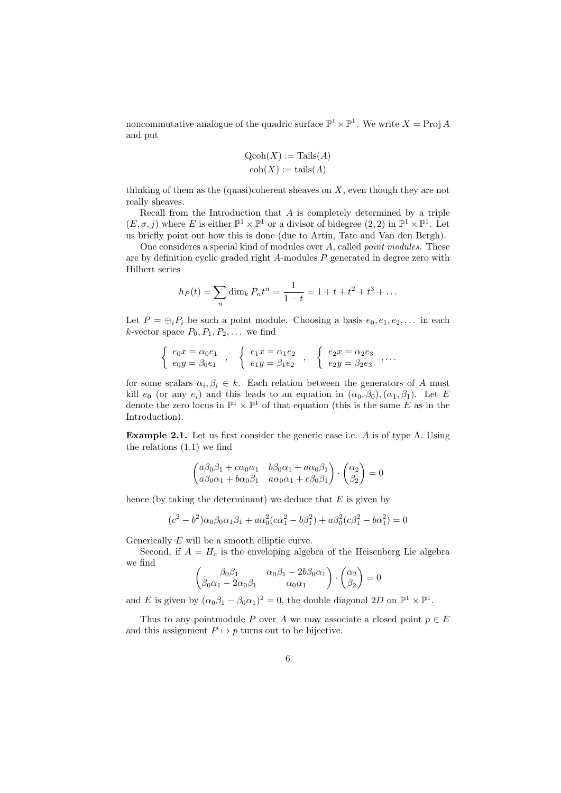noncommutative analogue of the quadric surface  $\mathbb{P}^1 \times \mathbb{P}^1$ . We write  $X = \text{Proj } A$ and put

$$
Qcoh(X) := \text{Tails}(A)
$$

$$
coh(X) := \text{tails}(A)
$$

thinking of them as the (quasi)coherent sheaves on  $X$ , even though they are not really sheaves.

Recall from the Introduction that  $A$  is completely determined by a triple  $(E, \sigma, j)$  where E is either  $\mathbb{P}^1 \times \mathbb{P}^1$  or a divisor of bidegree  $(2, 2)$  in  $\mathbb{P}^1 \times \mathbb{P}^1$ . Let us briefly point out how this is done (due to Artin, Tate and Van den Bergh).

One consideres a special kind of modules over A, called point modules. These are by definition cyclic graded right  $A$ -modules  $P$  generated in degree zero with Hilbert series

$$
h_P(t) = \sum_n \dim_k P_n t^n = \frac{1}{1-t} = 1 + t + t^2 + t^3 + \dots
$$

Let  $P = \bigoplus_i P_i$  be such a point module. Choosing a basis  $e_0, e_1, e_2, \ldots$  in each k-vector space  $P_0, P_1, P_2, \ldots$  we find

$$
\begin{cases}\n e_0 x = \alpha_0 e_1 \\
 e_0 y = \beta_0 e_1\n\end{cases},\n\begin{cases}\n e_1 x = \alpha_1 e_2 \\
 e_1 y = \beta_1 e_2\n\end{cases},\n\begin{cases}\n e_2 x = \alpha_2 e_3 \\
 e_2 y = \beta_2 e_3\n\end{cases},\n\ldots
$$

for some scalars  $\alpha_i, \beta_i \in k$ . Each relation between the generators of A must kill  $e_0$  (or any  $e_i$ ) and this leads to an equation in  $(\alpha_0, \beta_0), (\alpha_1, \beta_1)$ . Let E denote the zero locus in  $\mathbb{P}^1 \times \mathbb{P}^1$  of that equation (this is the same E as in the Introduction).

Example 2.1. Let us first consider the generic case i.e. A is of type A. Using the relations (1.1) we find

$$
\begin{pmatrix} a\beta_0\beta_1 + c\alpha_0\alpha_1 & b\beta_0\alpha_1 + a\alpha_0\beta_1 \\ a\beta_0\alpha_1 + b\alpha_0\beta_1 & a\alpha_0\alpha_1 + c\beta_0\beta_1 \end{pmatrix} \cdot \begin{pmatrix} \alpha_2 \\ \beta_2 \end{pmatrix} = 0
$$

hence (by taking the determinant) we deduce that  $E$  is given by

$$
(c2 – b2)\alpha_0\beta_0\alpha_1\beta_1 + a\alpha_0^2(c\alpha_1^2 – b\beta_1^2) + a\beta_0^2(c\beta_1^2 – b\alpha_1^2) = 0
$$

Generically E will be a smooth elliptic curve.

Second, if  $A = H_c$  is the enveloping algebra of the Heisenberg Lie algebra we find

$$
\begin{pmatrix}\n\beta_0 \beta_1 & \alpha_0 \beta_1 - 2b \beta_0 \alpha_1 \\
\beta_0 \alpha_1 - 2\alpha_0 \beta_1 & \alpha_0 \alpha_1\n\end{pmatrix} \cdot \begin{pmatrix} \alpha_2 \\
\beta_2\n\end{pmatrix} = 0
$$

and E is given by  $(\alpha_0 \beta_1 - \beta_0 \alpha_1)^2 = 0$ , the double diagonal 2D on  $\mathbb{P}^1 \times \mathbb{P}^1$ .

Thus to any pointmodule P over A we may associate a closed point  $p \in E$ and this assignment  $P \mapsto p$  turns out to be bijective.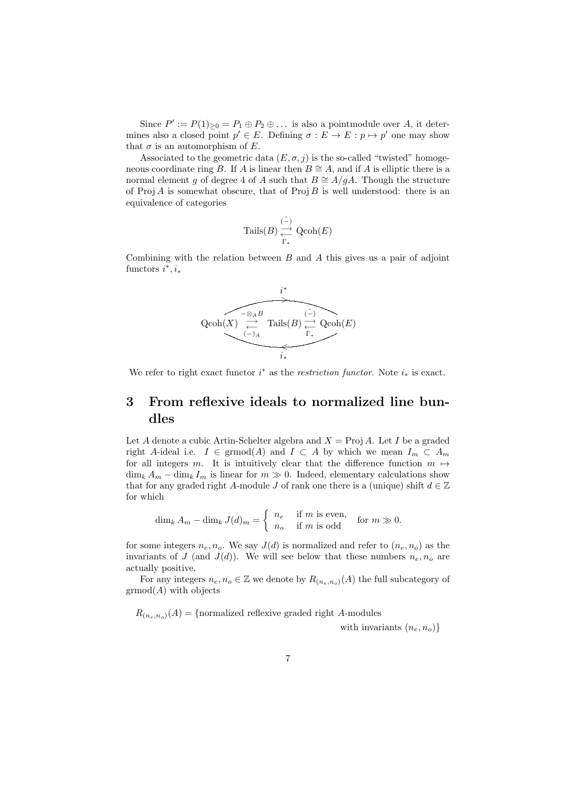Since  $P' := P(1)_{\geq 0} = P_1 \oplus P_2 \oplus \ldots$  is also a pointmodule over A, it determines also a closed point  $p' \in E$ . Defining  $\sigma : E \to E : p \mapsto p'$  one may show that  $\sigma$  is an automorphism of E.

Associated to the geometric data  $(E, \sigma, j)$  is the so-called "twisted" homogeneous coordinate ring B. If A is linear then  $B \cong A$ , and if A is elliptic there is a normal element g of degree 4 of A such that  $B \cong A/gA$ . Though the structure of  $\text{Proj } A$  is somewhat obscure, that of  $\text{Proj } B$  is well understood: there is an equivalence of categories

$$
\operatorname{Tails}(B) \underset{\Gamma_*}{\overset{(-)}} \xrightarrow{\operatorname{Qcoh}(E)}
$$

Combining with the relation between  $B$  and  $A$  this gives us a pair of adjoint functors  $i^*, i_*$ 



We refer to right exact functor  $i^*$  as the *restriction functor*. Note  $i_*$  is exact.

# 3 From reflexive ideals to normalized line bundles

Let A denote a cubic Artin-Schelter algebra and  $X = \text{Proj } A$ . Let I be a graded right A-ideal i.e.  $I \in \mathrm{grmod}(A)$  and  $I \subset A$  by which we mean  $I_m \subset A_m$ for all integers m. It is intuitively clear that the difference function  $m \mapsto$  $\dim_k A_m - \dim_k I_m$  is linear for  $m \gg 0$ . Indeed, elementary calculations show that for any graded right A-module J of rank one there is a (unique) shift  $d \in \mathbb{Z}$ for which

$$
\dim_k A_m - \dim_k J(d)_m = \begin{cases} n_e & \text{if } m \text{ is even,} \\ n_o & \text{if } m \text{ is odd} \end{cases} \text{ for } m \gg 0.
$$

for some integers  $n_e, n_o$ . We say  $J(d)$  is normalized and refer to  $(n_e, n_o)$  as the invariants of J (and  $J(d)$ ). We will see below that these numbers  $n_e, n_o$  are actually positive.

For any integers  $n_e, n_o \in \mathbb{Z}$  we denote by  $R_{(n_e,n_o)}(A)$  the full subcategory of  $\operatorname{grmod}(A)$  with objects

 $R_{(n_e,n_o)}(A) = \{normalized \text{ reflexive graded right } A\text{-modules} \}$ 

with invariants  $(n_e, n_o)$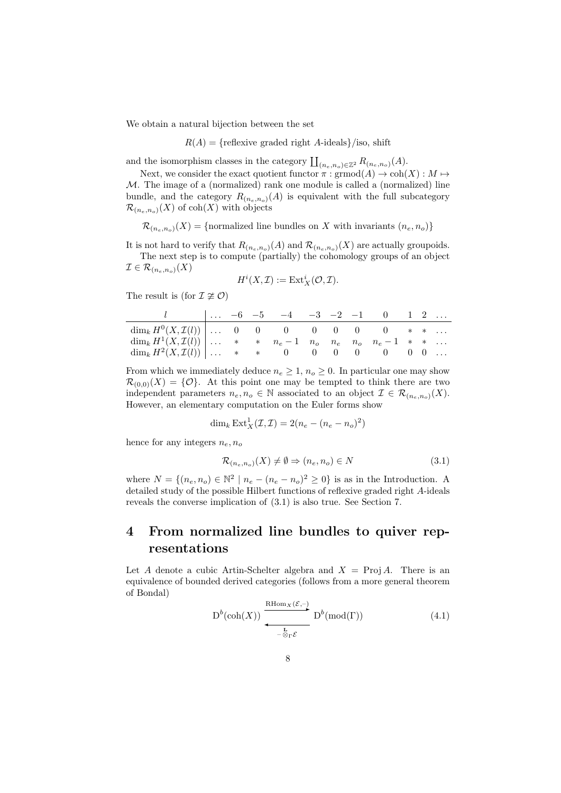We obtain a natural bijection between the set

 $R(A) = {reflexive graded right A-ideals}/iso, shift$ 

and the isomorphism classes in the category  $\prod_{(n_e,n_o)\in\mathbb{Z}^2} R_{(n_e,n_o)}(A)$ .

Next, we consider the exact quotient functor  $\pi : \mathrm{grmod}(A) \to \mathrm{coh}(X) : M \mapsto$ M. The image of a (normalized) rank one module is called a (normalized) line bundle, and the category  $R_{(n_e,n_o)}(A)$  is equivalent with the full subcategory  $\mathcal{R}_{(n_e,n_o)}(X)$  of coh $(X)$  with objects

 $\mathcal{R}_{(n_e,n_o)}(X) = \{\text{normalized line bundles on } X \text{ with invariants } (n_e,n_o)\}\$ 

It is not hard to verify that  $R_{(n_e,n_o)}(A)$  and  $\mathcal{R}_{(n_e,n_o)}(X)$  are actually groupoids. The next step is to compute (partially) the cohomology groups of an object

$$
\mathcal{I} \in \mathcal{R}_{(n_e, n_o)}(X)
$$

$$
H^i(X,\mathcal{I}):=\operatorname{Ext}^i_X(\mathcal{O},\mathcal{I}).
$$

The result is (for  $\mathcal{I} \not\cong \mathcal{O}$ )

|                                                                                          |  | $\begin{array}{ccccccccc}\n & \ldots & -6 & -5 & -4 & -3 & -2 & -1 & 0 & 1 & 2 & \ldots\n\end{array}$ |  |  |  |  |
|------------------------------------------------------------------------------------------|--|-------------------------------------------------------------------------------------------------------|--|--|--|--|
| $\dim_k H^0(X,\mathcal{I}(l))$ 0 0 0 0 0 0 0 * *                                         |  |                                                                                                       |  |  |  |  |
| $\dim_k H^1(X,\mathcal{I}(l))   \ldots * * n_e - 1 n_o n_e n_e - n_o n_e - 1 * * \ldots$ |  |                                                                                                       |  |  |  |  |
| $\dim_k H^2(X,\mathcal{I}(l))   \dots$ * * 0 0 0 0 0 0 0 0                               |  |                                                                                                       |  |  |  |  |

From which we immediately deduce  $n_e \geq 1$ ,  $n_o \geq 0$ . In particular one may show  $\mathcal{R}_{(0,0)}(X) = \{ \mathcal{O} \}.$  At this point one may be tempted to think there are two independent parameters  $n_e, n_o \in \mathbb{N}$  associated to an object  $\mathcal{I} \in \mathcal{R}_{(n_e, n_o)}(X)$ . However, an elementary computation on the Euler forms show

$$
\dim_k \operatorname{Ext}^1_X(\mathcal{I}, \mathcal{I}) = 2(n_e - (n_e - n_o)^2)
$$

hence for any integers  $n_e, n_o$ 

$$
\mathcal{R}_{(n_e, n_o)}(X) \neq \emptyset \Rightarrow (n_e, n_o) \in N \tag{3.1}
$$

where  $N = \{(n_e, n_o) \in \mathbb{N}^2 \mid n_e - (n_e - n_o)^2 \ge 0\}$  is as in the Introduction. A detailed study of the possible Hilbert functions of reflexive graded right A-ideals reveals the converse implication of (3.1) is also true. See Section 7.

# 4 From normalized line bundles to quiver representations

Let A denote a cubic Artin-Schelter algebra and  $X = \text{Proj } A$ . There is an equivalence of bounded derived categories (follows from a more general theorem of Bondal)

$$
D^{b}(\text{coh}(X)) \xrightarrow{\text{RHom}_{X}(\mathcal{E}, -)} D^{b}(\text{mod}(\Gamma))
$$
\n
$$
(4.1)
$$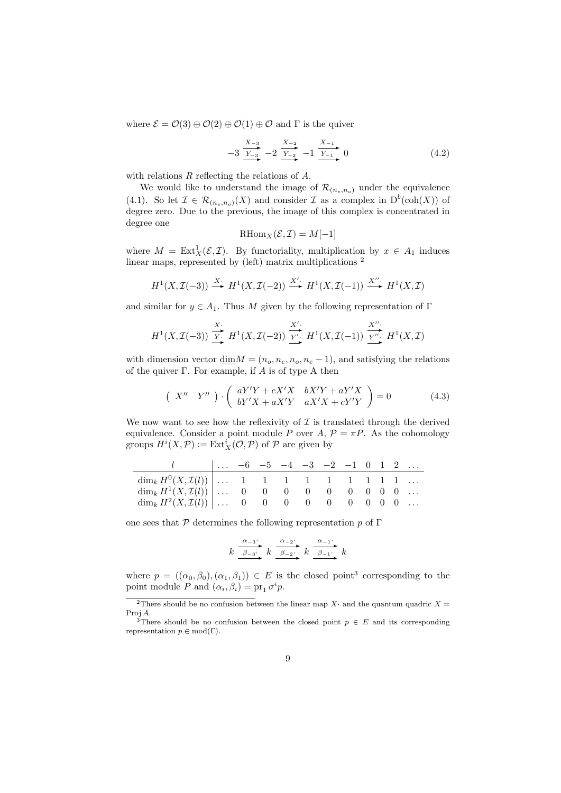where  $\mathcal{E} = \mathcal{O}(3) \oplus \mathcal{O}(2) \oplus \mathcal{O}(1) \oplus \mathcal{O}$  and  $\Gamma$  is the quiver

$$
-3\frac{X_{-3}}{Y_{-3}} - 2\frac{X_{-2}}{Y_{-2}} - 1\frac{X_{-1}}{Y_{-1}} 0
$$
 (4.2)

with relations R reflecting the relations of A.

We would like to understand the image of  $\mathcal{R}_{(n_e,n_o)}$  under the equivalence (4.1). So let  $\mathcal{I} \in \mathcal{R}_{(n_e,n_o)}(X)$  and consider  $\mathcal{I}$  as a complex in  $D^b(\text{coh}(X))$  of degree zero. Due to the previous, the image of this complex is concentrated in degree one

$$
\mathrm{RHom}_X(\mathcal{E}, \mathcal{I}) = M[-1]
$$

where  $M = \text{Ext}^1_X(\mathcal{E}, \mathcal{I})$ . By functoriality, multiplication by  $x \in A_1$  induces linear maps, represented by (left) matrix multiplications <sup>2</sup>

$$
H^1(X, \mathcal{I}(-3)) \xrightarrow{X} H^1(X, \mathcal{I}(-2)) \xrightarrow{X'} H^1(X, \mathcal{I}(-1)) \xrightarrow{X''} H^1(X, \mathcal{I})
$$

and similar for  $y \in A_1$ . Thus M given by the following representation of Γ

$$
H^1(X, \mathcal{I}(-3)) \xrightarrow{\text{X'}} H^1(X, \mathcal{I}(-2)) \xrightarrow{\text{X'}'} H^1(X, \mathcal{I}(-1)) \xrightarrow{\text{X'''}} H^1(X, \mathcal{I})
$$

with dimension vector  $\underline{\dim}M = (n_o, n_e, n_o, n_e - 1)$ , and satisfying the relations of the quiver  $\Gamma$ . For example, if A is of type A then

$$
\begin{pmatrix} X'' & Y'' \end{pmatrix} \cdot \begin{pmatrix} aY'Y + cX'X & bX'Y + aY'X \\ bY'X + aX'Y & aX'X + cY'Y \end{pmatrix} = 0 \tag{4.3}
$$

We now want to see how the reflexivity of  $\mathcal I$  is translated through the derived equivalence. Consider a point module P over A,  $\mathcal{P} = \pi P$ . As the cohomology groups  $H^i(X, \mathcal{P}) := \text{Ext}^i_X(\mathcal{O}, \mathcal{P})$  of  $\mathcal P$  are given by

|                                                                  |  |  | $\vert \ldots -6 -5 -4 -3 -2 -1 0 1 2 \ldots$ |  |  |  |
|------------------------------------------------------------------|--|--|-----------------------------------------------|--|--|--|
| $\dim_k H^0(X,\mathcal{I}(l))$ 1 1 1 1 1 1 1 1 1                 |  |  |                                               |  |  |  |
| $\dim_k H^1(X,\mathcal{I}(l))   \ldots 0 0 0 0 0 0 0 0 0 \ldots$ |  |  |                                               |  |  |  |
| $\dim_k H^2(X,\mathcal{I}(l))$ 0 0 0 0 0 0 0 0 0                 |  |  |                                               |  |  |  |

one sees that  $\mathcal P$  determines the following representation p of Γ

$$
k \xrightarrow{\alpha_{-3}} k \xrightarrow{\alpha_{-2}} k \xrightarrow{\alpha_{-2}} k \xrightarrow{\alpha_{-1}} k
$$

where  $p = ((\alpha_0, \beta_0), (\alpha_1, \beta_1)) \in E$  is the closed point<sup>3</sup> corresponding to the point module P and  $(\alpha_i, \beta_i) = pr_1 \sigma^i p$ .

<sup>&</sup>lt;sup>2</sup>There should be no confusion between the linear map X· and the quantum quadric  $X =$ Proj A.

<sup>&</sup>lt;sup>3</sup>There should be no confusion between the closed point  $p \in E$  and its corresponding representation  $p \in \text{mod}(\Gamma)$ .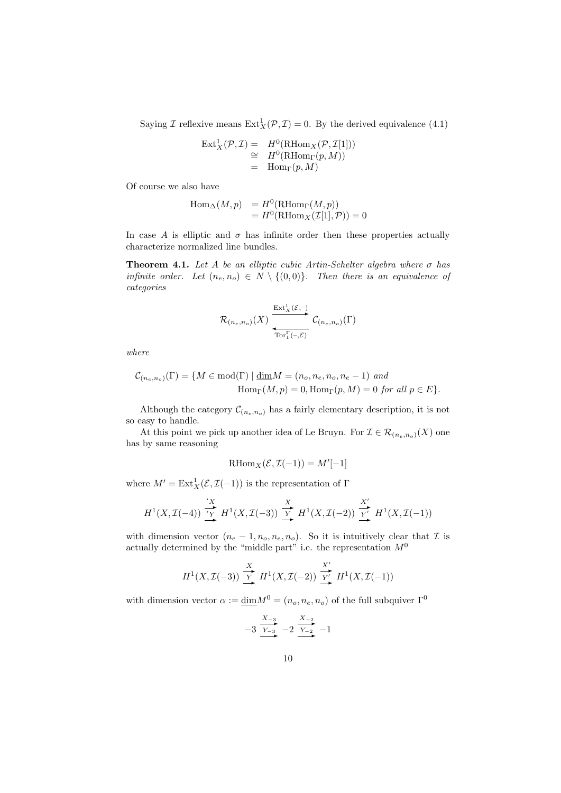Saying *I* reflexive means  $\text{Ext}^1_X(\mathcal{P}, \mathcal{I}) = 0$ . By the derived equivalence (4.1)

$$
\operatorname{Ext}^1_X(\mathcal{P}, \mathcal{I}) = H^0(\operatorname{RHom}_X(\mathcal{P}, \mathcal{I}[1]))
$$
  
\n
$$
\cong H^0(\operatorname{RHom}_\Gamma(p, M))
$$
  
\n
$$
= \operatorname{Hom}_\Gamma(p, M)
$$

Of course we also have

$$
\begin{array}{ll}\n\operatorname{Hom}_{\Delta}(M,p) &= H^0(\operatorname{RHom}_{\Gamma}(M,p)) \\
&= H^0(\operatorname{RHom}_X(\mathcal{I}[1], \mathcal{P})) = 0\n\end{array}
$$

In case A is elliptic and  $\sigma$  has infinite order then these properties actually characterize normalized line bundles.

**Theorem 4.1.** Let A be an elliptic cubic Artin-Schelter algebra where  $\sigma$  has infinite order. Let  $(n_e, n_o) \in N \setminus \{(0, 0)\}\$ . Then there is an equivalence of categories

$$
\mathcal{R}_{(n_e,n_o)}(X) \xrightarrow[\text{Tor}_1^\Gamma(-,\mathcal{E})]{\text{Ext}^1_X(\mathcal{E},-)} \mathcal{C}_{(n_e,n_o)}(\Gamma)
$$

where

$$
\mathcal{C}_{(n_e, n_o)}(\Gamma) = \{ M \in \text{mod}(\Gamma) \mid \underline{\dim} M = (n_o, n_e, n_o, n_e - 1) \text{ and}
$$
  

$$
\text{Hom}_{\Gamma}(M, p) = 0, \text{Hom}_{\Gamma}(p, M) = 0 \text{ for all } p \in E \}.
$$

Although the category  $\mathcal{C}_{(n_e,n_o)}$  has a fairly elementary description, it is not so easy to handle.

At this point we pick up another idea of Le Bruyn. For  $\mathcal{I} \in \mathcal{R}_{(n_e,n_o)}(X)$  one has by same reasoning

$$
\mathrm{RHom}_X(\mathcal{E}, \mathcal{I}(-1)) = M'[-1]
$$

where  $M' = \text{Ext}^1_X(\mathcal{E}, \mathcal{I}(-1))$  is the representation of  $\Gamma$ 

$$
H^1(X, \mathcal{I}(-4)) \xrightarrow{\prime X} H^1(X, \mathcal{I}(-3)) \xrightarrow{\chi} H^1(X, \mathcal{I}(-2)) \xrightarrow{\chi'} H^1(X, \mathcal{I}(-1))
$$

with dimension vector  $(n_e - 1, n_o, n_e, n_o)$ . So it is intuitively clear that  $\mathcal I$  is actually determined by the "middle part" i.e. the representation  $M^0$ 

$$
H^1(X, \mathcal{I}(-3)) \xrightarrow{\begin{array}{c} X \\ Y \end{array}} H^1(X, \mathcal{I}(-2)) \xrightarrow{\begin{array}{c} X' \\ Y \end{array}} H^1(X, \mathcal{I}(-1))
$$

with dimension vector  $\alpha := \underline{\dim} M^0 = (n_o, n_e, n_o)$  of the full subquiver  $\Gamma^0$ 

$$
-3 \xrightarrow{X_{-3}} -2 \xrightarrow{X_{-2}} -1
$$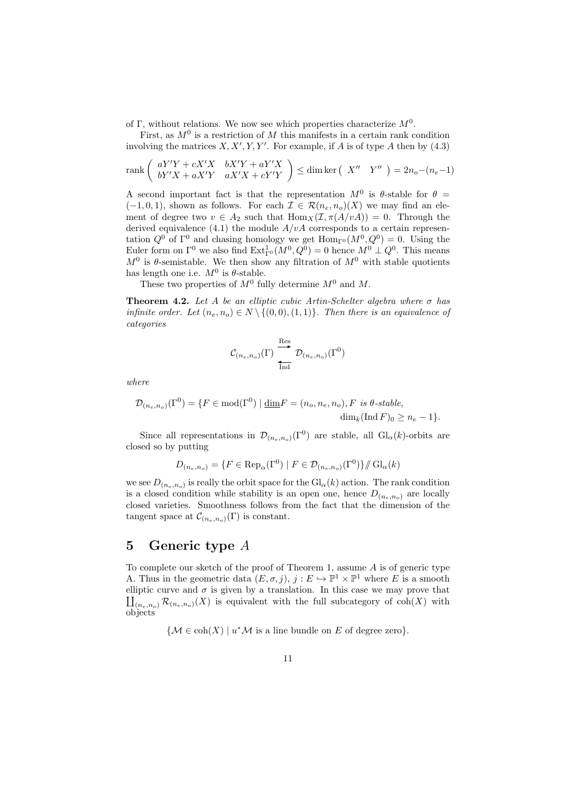of Γ, without relations. We now see which properties characterize  $M^0$ .

First, as  $M^0$  is a restriction of M this manifests in a certain rank condition involving the matrices  $X, X', Y, Y'$ . For example, if A is of type A then by  $(4.3)$ 

$$
\operatorname{rank}\left(\begin{array}{cc} aY'Y + cX'X & bX'Y + aY'X\\ bY'X + aX'Y & aX'X + cY'Y \end{array}\right) \le \dim \ker\left(\begin{array}{cc} X'' & Y'' \end{array}\right) = 2n_o - (n_e - 1)
$$

A second important fact is that the representation  $M^0$  is  $\theta$ -stable for  $\theta =$  $(-1, 0, 1)$ , shown as follows. For each  $\mathcal{I} \in \mathcal{R}(n_e, n_o)(X)$  we may find an element of degree two  $v \in A_2$  such that  $\text{Hom}_X(\mathcal{I}, \pi(A/vA)) = 0$ . Through the derived equivalence (4.1) the module  $A/vA$  corresponds to a certain representation  $Q^0$  of  $\Gamma^0$  and chasing homology we get  $\text{Hom}_{\Gamma^0}(M^0, Q^0) = 0$ . Using the Euler form on  $\Gamma^0$  we also find  $\text{Ext}^1_{\Gamma^0}(M^0, Q^0) = 0$  hence  $M^0 \perp Q^0$ . This means  $M^0$  is  $\theta$ -semistable. We then show any filtration of  $M^0$  with stable quotients has length one i.e.  $M^0$  is  $\theta$ -stable.

These two properties of  $M^0$  fully determine  $M^0$  and M.

**Theorem 4.2.** Let A be an elliptic cubic Artin-Schelter algebra where  $\sigma$  has infinite order. Let  $(n_e, n_o) \in N \setminus \{(0, 0), (1, 1)\}$ . Then there is an equivalence of categories

$$
\mathcal{C}_{(n_e,n_o)}(\Gamma) \overset{\text{Res}}{\underset{\text{Ind}}{\longleftarrow}} \mathcal{D}_{(n_e,n_o)}(\Gamma^0)
$$

where

$$
\mathcal{D}_{(n_e, n_o)}(\Gamma^0) = \{ F \in \text{mod}(\Gamma^0) \mid \underline{\dim} F = (n_o, n_e, n_o), F \text{ is } \theta\text{-stable},
$$
  

$$
\dim_k(\text{Ind } F)_0 \ge n_e - 1 \}.
$$

Since all representations in  $\mathcal{D}_{(n_e,n_o)}(\Gamma^0)$  are stable, all  $Gl_\alpha(k)$ -orbits are closed so by putting

$$
D_{(n_e, n_o)} = \{ F \in \text{Rep}_{\alpha}(\Gamma^0) \mid F \in \mathcal{D}_{(n_e, n_o)}(\Gamma^0) \} / \! / \text{Gl}_{\alpha}(k)
$$

we see  $D_{(n_e,n_o)}$  is really the orbit space for the  $\mathrm{Gl}_{\alpha}(k)$  action. The rank condition is a closed condition while stability is an open one, hence  $D_{(n_e,n_o)}$  are locally closed varieties. Smoothness follows from the fact that the dimension of the tangent space at  $\mathcal{C}_{(n_e,n_o)}(\Gamma)$  is constant.

## 5 Generic type A

To complete our sketch of the proof of Theorem 1, assume  $A$  is of generic type A. Thus in the geometric data  $(E, \sigma, j)$ ,  $j : E \hookrightarrow \mathbb{P}^1 \times \mathbb{P}^1$  where E is a smooth elliptic curve and  $\sigma$  is given by a translation. In this case we may prove that elliptic curve and  $\sigma$  is given by a translation. In this case we may prove that  $\prod_{(n_e,n_o)} \mathcal{R}_{(n_e,n_o)}(X)$  is equivalent with the full subcategory of coh(X) with objects

 ${ {\mathcal M} \in \text{coh}(X) \mid u^* \mathcal M \text{ is a line bundle on }E \text{ of degree zero} } }.$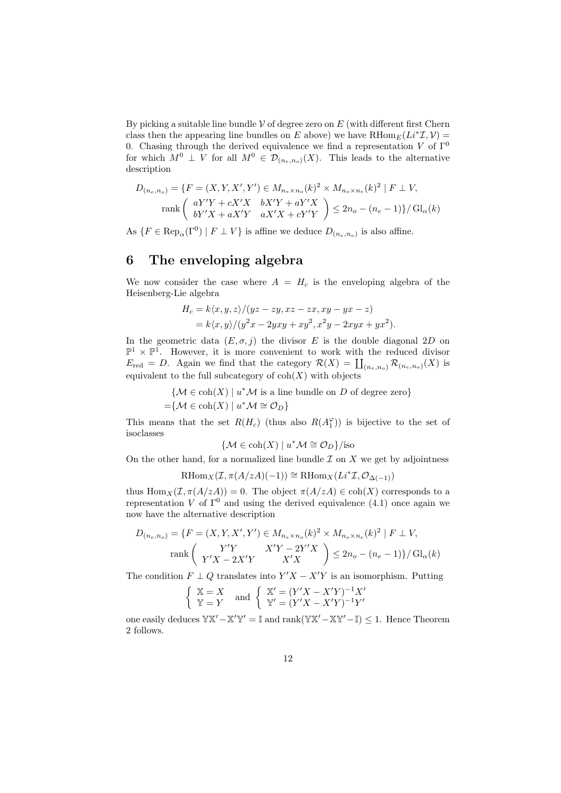By picking a suitable line bundle  $\mathcal V$  of degree zero on E (with different first Chern class then the appearing line bundles on E above) we have  $R\text{Hom}_E(L^*L, V) =$ 0. Chasing through the derived equivalence we find a representation V of  $\Gamma^0$ for which  $M^0 \perp V$  for all  $M^0 \in \mathcal{D}_{(n_e,n_o)}(X)$ . This leads to the alternative description

$$
D_{(n_e, n_o)} = \{ F = (X, Y, X', Y') \in M_{n_e \times n_o}(k)^2 \times M_{n_o \times n_e}(k)^2 \mid F \perp V, \n\text{rank}\begin{pmatrix} aY'Y + cX'X & bX'Y + aY'X \\ bY'X + aX'Y & aX'X + cY'Y \end{pmatrix} \le 2n_o - (n_e - 1)\} / \text{Gl}_\alpha(k)
$$

As  $\{F \in \text{Rep}_{\alpha}(\Gamma^0) \mid F \perp V\}$  is affine we deduce  $D_{(n_e, n_o)}$  is also affine.

### 6 The enveloping algebra

We now consider the case where  $A = H_c$  is the enveloping algebra of the Heisenberg-Lie algebra

$$
H_c = k \langle x, y, z \rangle / (yz - zy, xz - zx, xy - yx - z)
$$
  
=  $k \langle x, y \rangle / (y^2 x - 2yxy + xy^2, x^2y - 2xyx + yx^2).$ 

In the geometric data  $(E, \sigma, j)$  the divisor E is the double diagonal 2D on  $\mathbb{P}^1 \times \mathbb{P}^1$ . However, it is more convenient to work with the reduced divisor  $E_{\text{red}} = D$ . Again we find that the category  $\mathcal{R}(X) = \coprod_{(n_e,n_o)} \mathcal{R}_{(n_e,n_o)}(X)$  is equivalent to the full subcategory of  $\text{coh}(X)$  with objects

> ${M \in \text{coh}(X) \mid u^*M \text{ is a line bundle on } D \text{ of degree zero}}$  $=\mathcal{M} \in \text{coh}(X) \mid u^* \mathcal{M} \cong \mathcal{O}_D$

This means that the set  $R(H_c)$  (thus also  $R(A_1^{\varphi})$ ) is bijective to the set of isoclasses

$$
\{\mathcal{M} \in \text{coh}(X) \mid u^* \mathcal{M} \cong \mathcal{O}_D\}/\text{iso}
$$

On the other hand, for a normalized line bundle  $\mathcal I$  on  $X$  we get by adjointness

 $\mathrm{RHom}_X(\mathcal{I}, \pi(A/zA)(-1)) \cong \mathrm{RHom}_X(Li^*\mathcal{I}, \mathcal{O}_{\Delta(-1)})$ 

thus  $\text{Hom}_X(\mathcal{I}, \pi(A/zA)) = 0$ . The object  $\pi(A/zA) \in \text{coh}(X)$  corresponds to a representation V of  $\Gamma^0$  and using the derived equivalence (4.1) once again we now have the alternative description

$$
D_{(n_e, n_o)} = \{ F = (X, Y, X', Y') \in M_{n_e \times n_o}(k)^2 \times M_{n_o \times n_e}(k)^2 \mid F \perp V,
$$
  
rank $\begin{pmatrix} Y'Y & X'Y - 2Y'X \\ Y'X - 2X'Y & X'X \end{pmatrix} \le 2n_o - (n_e - 1) \} / Gl_\alpha(k)$ 

The condition  $F \perp Q$  translates into  $Y'X - X'Y$  is an isomorphism. Putting

$$
\begin{cases} \mathbb{X} = X \\ \mathbb{Y} = Y \end{cases} \text{ and } \begin{cases} \mathbb{X}' = (Y'X - X'Y)^{-1}X' \\ \mathbb{Y}' = (Y'X - X'Y)^{-1}Y' \end{cases}
$$

one easily deduces  $\mathbb{Y} \mathbb{X}' - \mathbb{X}' \mathbb{Y}' = \mathbb{I}$  and  $\text{rank}(\mathbb{Y} \mathbb{X}' - \mathbb{X} \mathbb{Y}' - \mathbb{I}) \leq 1$ . Hence Theorem 2 follows.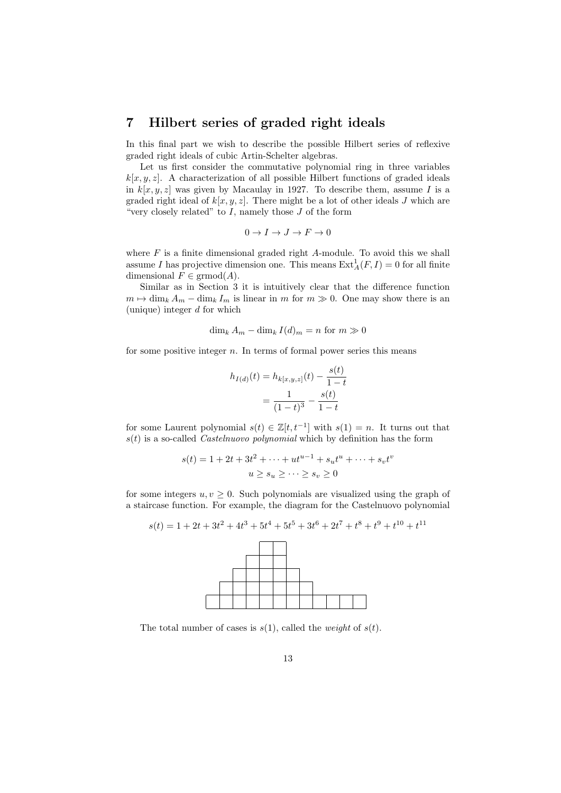### 7 Hilbert series of graded right ideals

In this final part we wish to describe the possible Hilbert series of reflexive graded right ideals of cubic Artin-Schelter algebras.

Let us first consider the commutative polynomial ring in three variables  $k[x, y, z]$ . A characterization of all possible Hilbert functions of graded ideals in  $k[x, y, z]$  was given by Macaulay in 1927. To describe them, assume I is a graded right ideal of  $k[x, y, z]$ . There might be a lot of other ideals J which are "very closely related" to  $I$ , namely those  $J$  of the form

$$
0\to I\to J\to F\to 0
$$

where  $F$  is a finite dimensional graded right  $A$ -module. To avoid this we shall assume I has projective dimension one. This means  $\text{Ext}_{A}^{1}(F, I) = 0$  for all finite dimensional  $F \in \mathrm{grmod}(A)$ .

Similar as in Section 3 it is intuitively clear that the difference function  $m \mapsto \dim_k A_m - \dim_k I_m$  is linear in m for  $m \gg 0$ . One may show there is an (unique) integer  $d$  for which

$$
\dim_k A_m - \dim_k I(d)_m = n \text{ for } m \gg 0
$$

for some positive integer  $n$ . In terms of formal power series this means

$$
h_{I(d)}(t) = h_{k[x,y,z]}(t) - \frac{s(t)}{1-t}
$$

$$
= \frac{1}{(1-t)^3} - \frac{s(t)}{1-t}
$$

for some Laurent polynomial  $s(t) \in \mathbb{Z}[t, t^{-1}]$  with  $s(1) = n$ . It turns out that  $s(t)$  is a so-called *Castelnuovo polynomial* which by definition has the form

$$
s(t) = 1 + 2t + 3t^{2} + \dots + ut^{u-1} + s_{u}t^{u} + \dots + s_{v}t^{v}
$$

$$
u \ge s_{u} \ge \dots \ge s_{v} \ge 0
$$

for some integers  $u, v \geq 0$ . Such polynomials are visualized using the graph of a staircase function. For example, the diagram for the Castelnuovo polynomial

$$
s(t) = 1 + 2t + 3t2 + 4t3 + 5t4 + 5t5 + 3t6 + 2t7 + t8 + t9 + t10 + t11
$$



The total number of cases is  $s(1)$ , called the *weight* of  $s(t)$ .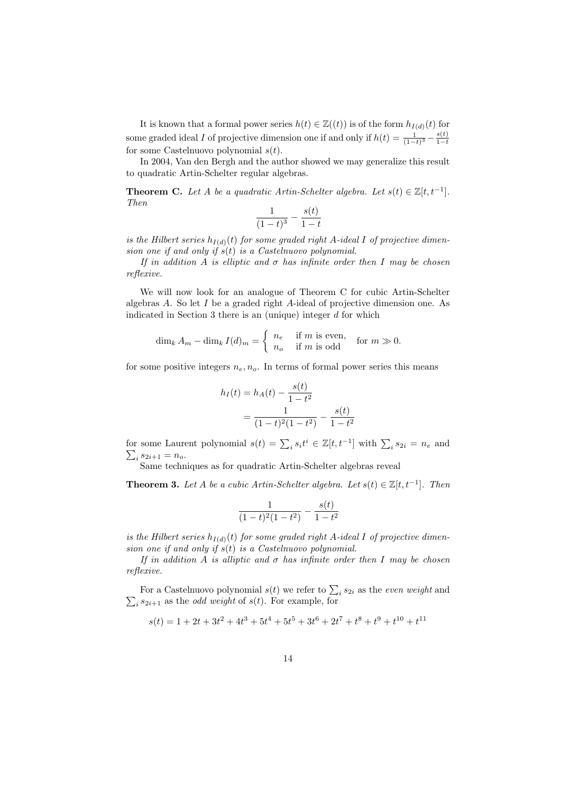It is known that a formal power series  $h(t) \in \mathbb{Z}((t))$  is of the form  $h_{I(d)}(t)$  for some graded ideal I of projective dimension one if and only if  $h(t) = \frac{1}{(1-t)^3} - \frac{s(t)}{1-t}$  $1-t$ for some Castelnuovo polynomial  $s(t)$ .

In 2004, Van den Bergh and the author showed we may generalize this result to quadratic Artin-Schelter regular algebras.

**Theorem C.** Let A be a quadratic Artin-Schelter algebra. Let  $s(t) \in \mathbb{Z}[t, t^{-1}]$ . Then

$$
\frac{1}{(1-t)^3} - \frac{s(t)}{1-t}
$$

is the Hilbert series  $h_{I(d)}(t)$  for some graded right A-ideal I of projective dimension one if and only if  $s(t)$  is a Castelnuovo polynomial.

If in addition A is elliptic and  $\sigma$  has infinite order then I may be chosen reflexive.

We will now look for an analogue of Theorem C for cubic Artin-Schelter algebras A. So let I be a graded right A-ideal of projective dimension one. As indicated in Section 3 there is an (unique) integer  $d$  for which

$$
\dim_k A_m - \dim_k I(d)_m = \begin{cases} n_e & \text{if } m \text{ is even,} \\ n_o & \text{if } m \text{ is odd} \end{cases} \text{ for } m \gg 0.
$$

for some positive integers  $n_e, n_o$ . In terms of formal power series this means

$$
h_I(t) = h_A(t) - \frac{s(t)}{1 - t^2}
$$
  
= 
$$
\frac{1}{(1 - t)^2 (1 - t^2)} - \frac{s(t)}{1 - t^2}
$$

for some Laurent polynomial  $s(t) = \sum_i s_i t^i \in \mathbb{Z}[t, t^{-1}]$  with  $\sum_i s_{2i} = n_e$  and  $\sum_i s_{2i+1} = n_o.$ 

Same techniques as for quadratic Artin-Schelter algebras reveal

**Theorem 3.** Let A be a cubic Artin-Schelter algebra. Let  $s(t) \in \mathbb{Z}[t, t^{-1}]$ . Then

$$
\frac{1}{(1-t)^2(1-t^2)} - \frac{s(t)}{1-t^2}
$$

is the Hilbert series  $h_{I(d)}(t)$  for some graded right A-ideal I of projective dimension one if and only if  $s(t)$  is a Castelnuovo polynomial.

If in addition A is alliptic and  $\sigma$  has infinite order then I may be chosen reflexive.

For a Castelnuovo polynomial  $s(t)$  we refer to  $\sum_i s_{2i}$  as the *even weight* and  $\sum_i s_{2i+1}$  as the *odd weight* of  $s(t)$ . For example, for

$$
s(t) = 1 + 2t + 3t2 + 4t3 + 5t4 + 5t5 + 3t6 + 2t7 + t8 + t9 + t10 + t11
$$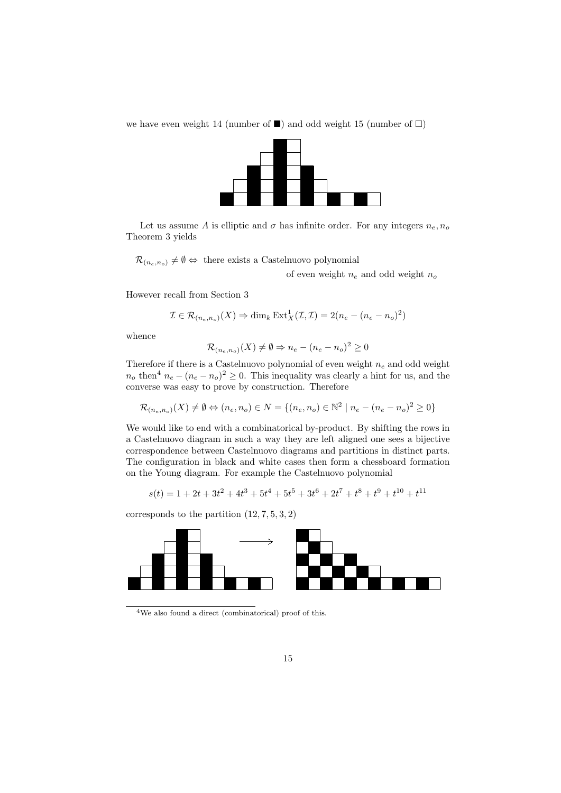we have even weight 14 (number of  $\blacksquare$ ) and odd weight 15 (number of  $\square$ )



Let us assume A is elliptic and  $\sigma$  has infinite order. For any integers  $n_e, n_o$ Theorem 3 yields

 $\mathcal{R}_{(n_e,n_o)} \neq \emptyset \Leftrightarrow$  there exists a Castelnuovo polynomial

of even weight  $n_e$  and odd weight  $n_o$ 

However recall from Section 3

$$
\mathcal{I} \in \mathcal{R}_{(n_e, n_o)}(X) \Rightarrow \dim_k \operatorname{Ext}^1_X(\mathcal{I}, \mathcal{I}) = 2(n_e - (n_e - n_o)^2)
$$

whence

$$
\mathcal{R}_{(n_e,n_o)}(X) \neq \emptyset \Rightarrow n_e - (n_e - n_o)^2 \ge 0
$$

Therefore if there is a Castelnuovo polynomial of even weight  $n_e$  and odd weight  $n_o$  then<sup>4</sup>  $n_e - (n_e - n_o)^2 \geq 0$ . This inequality was clearly a hint for us, and the converse was easy to prove by construction. Therefore

$$
\mathcal{R}_{(n_e,n_o)}(X) \neq \emptyset \Leftrightarrow (n_e,n_o) \in N = \{(n_e,n_o) \in \mathbb{N}^2 \mid n_e - (n_e - n_o)^2 \ge 0\}
$$

We would like to end with a combinatorical by-product. By shifting the rows in a Castelnuovo diagram in such a way they are left aligned one sees a bijective correspondence between Castelnuovo diagrams and partitions in distinct parts. The configuration in black and white cases then form a chessboard formation on the Young diagram. For example the Castelnuovo polynomial

$$
s(t) = 1 + 2t + 3t2 + 4t3 + 5t4 + 5t5 + 3t6 + 2t7 + t8 + t9 + t10 + t11
$$

corresponds to the partition  $(12, 7, 5, 3, 2)$ 



<sup>4</sup>We also found a direct (combinatorical) proof of this.